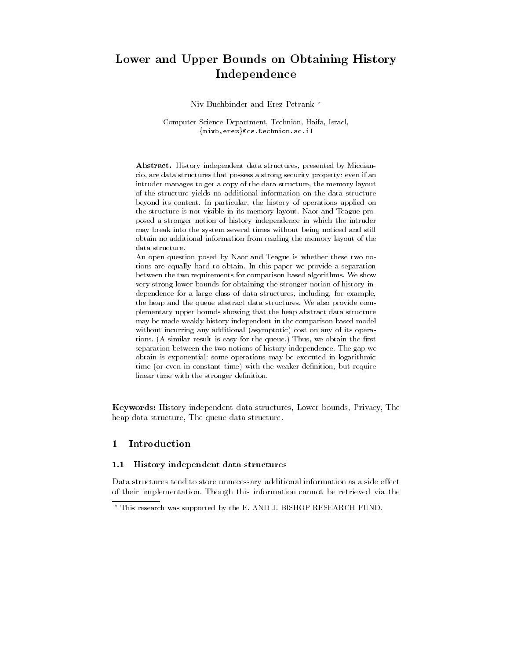# Lower and Upper Bounds on Obtaining HistoryIndependence

Niv Buchbinder and Erez Petrank

Computer Science Department, Technion, Haifa, Israel,  $\{\texttt{nivb}, \texttt{erez}\}$ @cs.technion.ac.il

Abstract. History independent data structures, presented by Micciancio are data structures that possess a strong security property- even if an intruder manages to get a copy of the data structure, the memory layout of the structure yields no additional information on the data structure beyond its content. In particular, the history of operations applied on the structure is not visible in its memory layout Naor and Teague pro posed a stronger notion of history independence in which the intruder may break into the system several times without being noticed and still obtain no additional information from reading the memory layout of the data structure.

An open question posed by Naor and Teague is whether these two no tions are equally hard to obtain In this paper we provide a separation between the two requirements for comparison based algorithms. We show very strong lower bounds for obtaining the stronger notion of history in dependence for a large class of data structures, including, for example, the heap and the queue abstract data structures We also provide com plementary upper bounds showing that the heap abstract data structure may be made weakly history independent in the comparison based model without incurring any additional (asymptotic) cost on any of its operations. (A similar result is easy for the queue.) Thus, we obtain the first separation between the two notions of history independence The gap we obtain is exponential-control eperations may be executed in logarithmic. time (or even in constant time) with the weaker definition, but require linear time with the stronger definition.

Keywords History independent data structures Lower bounds Privacy Theory Theory heap data-structure. The queue data-structure.

#### $\mathbf{1}$ Introduction

#### - - -History independent data structures

Data structures tend to store unnecessary additional information as a side effect of their implementation- Though this information cannot be retrieved via the

 $\degree$  This research was supported by the E. AND J. BISHOP RESEARCH FUND.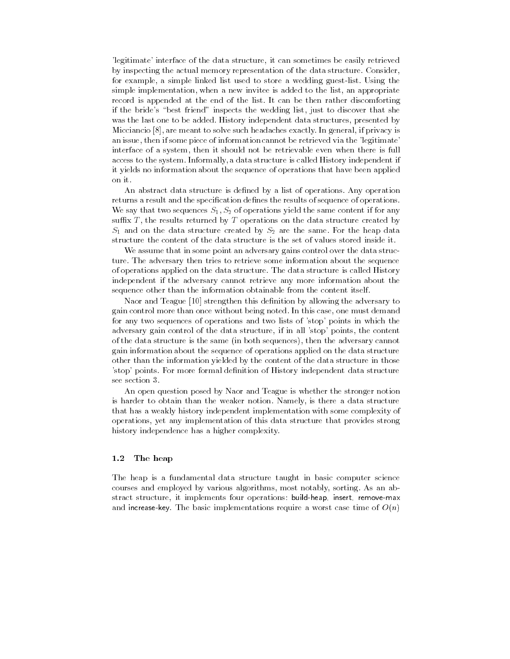legitimate interface of the data structure, it can sometimes be easily retrieved by inspecting the actual memory representation of the data structure- Consider for example a simple linked list used to store a wedding guestlist- Using the simple implementation, when a new invitee is added to the list, an appropriate record is appended at the end of the list- It can be then rather discomforting if the bride's "best friend" inspects the wedding list, just to discover that she was the last one to be added-was the structure presented by the structures presented by the structure of the s microscolo is a meant to solve such headaches exactly-in general is privated to an issue, then if some piece of information cannot be retrieved via the legitimate interface of a system, then it should not be retrievable even when there is full access to the system- Informally a data structure is called History independent if it yields no information about the sequence of operations that have been applied on it-

An abstract data structure is de ned by a list of operations- Any operation returns a result and the speci cation de nes the results of sequence of operations-We say that two sequences  $S_1, S_2$  of operations yield the same content if for any suffix  $T$ , the results returned by  $T$  operations on the data structure created by  $S_1$  and on the data structure created by  $S_2$  are the same. For the heap data structure the content of the data structure is the set of values stored inside it-

We assume that in some point an adversary gains control over the data struc ture- The adversary then tries to retrieve some information about the sequence of operations applied on the data structure- the data structure- is called History . independent if the adversary cannot retrieve any more information about the sequence other than the information obtainable from the content itself-

. Naor and this decision and the commutation of the adversary to adversary to a strengthen adversary to a gain control more than once without being noted-in this case, which must demand  $\sim$ for any two sequences of operations and two lists of 'stop' points in which the adversary gain control of the data structure, if in all 'stop' points, the content of the data structure is the same (in both sequences), then the adversary cannot gain information about the sequence of operations applied on the data structure other than the information yielded by the content of the data structure in those stop points- For more formal de nition of History independent data structure see section 3.

An open question posed by Naor and Teague is whether the stronger notion is material to obtain thank the weaker notion-than than the weaker a data structure that has a weakly history independent implementation with some complexity of operations, yet any implementation of this data structure that provides strong history independence has a higher complexity-

#### --The heap

The heap is a fundamental data structure taught in basic computer science courses and employed by various algorithms most notably sortingstract structure, it implements four operations: build-heap, insert, remove-max and increase it, the basic impromotions require a worst case time of Only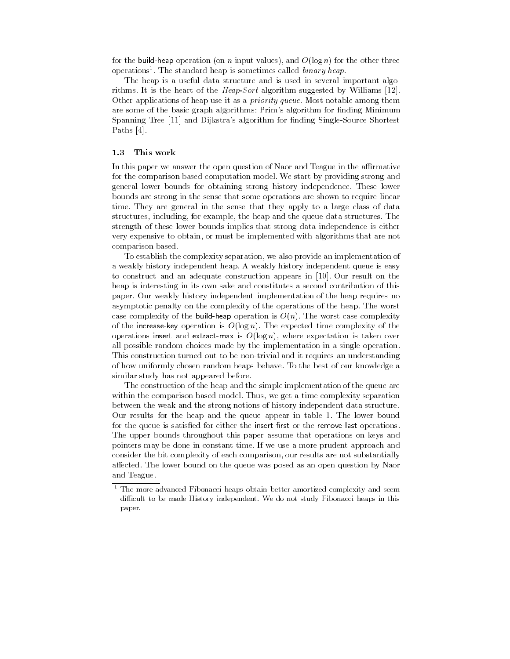for the build-heap operation (on n input values), and  $O(\log n)$  for the other three operations – The standard heap is sometimes called *binary heap*.

The heap is a useful data structure and is used in several important algo  $\blacksquare$  is the HeapSort algorithm suggested by  $\blacksquare$ Other applications of heap use it as a priority queue- Most notable among them are some of the basic graph algorithms Prims algorithm for the mag continues. spanning tree proposed to provide algorithm for moning singles shorter shorters. Paths  $[4]$ .

#### -This work

In this paper we answer the open question of Naor and Teague in the affirmative for the comparison based computation model- We start by providing strong and general lower bounds for obtaining strong history independence- These lower bounds are strong in the sense that some operations are shown to require linear time- They are general in the sense that they apply to a large class of data structures including for example the heap and the queue data structures- The strength of these lower bounds implies that strong data independence is either very expensive to obtain or must be implemented with algorithms that are not comparison based.

To establish the complexity separation we also provide an implementation of a weakly history independent heap- in weakly history independent queue is easy. to construct and an adequate construction appears in 
 - Our result on the heap is interesting in its own sake and constitutes a second contribution of this paper- our weakly modely independent implementation of the head position of the second international properties asymptotic penalty on the complexity of the operations of the model of the model of the model case complement of the buildheap operation is On-this first heap case complement of the increase its, operation is Oliogn, The expected time compleme, of the operations insert and extract-max is  $O(\log n)$ , where expectation is taken over all possible random choices made by the implementation in a single operation-This construction turned out to be non-trivial and it requires an understanding of how uniformly chosen random heaps behave- To the best of our knowledge a similar study has not appeared before.

The construction of the heap and the simple implementation of the queue are with the comparison based model-with the time complexity separation  $\mathcal{L}_{\mathcal{A}}$ between the weak and the strong notions of history independent data structure-, our results for the memp and the queue appear in table reduced a substitution of the state of the state of t for the queue is satis ed for either the insert-rst or the removelast operations-The upper bounds throughout this paper assume that operations on keys and pointers may be done in constant time- If we use a more prudent approach and consider the bit complexity of each comparison, our results are not substantially aected-bound on the lower bound on the lower bound on the queue was posed as an open question by Naor and Ameri and Teague.

The more advanced Fibonacci heaps obtain better amortized complexity and seem difficult to be made History independent. We do not study Fibonacci heaps in this paper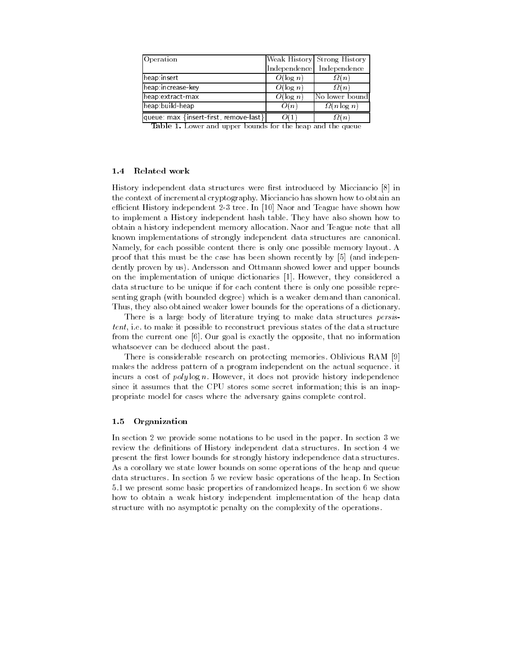| Operation                            |             | Weak History Strong History |
|--------------------------------------|-------------|-----------------------------|
|                                      |             | Independence Independence   |
| heap insert                          | $O(\log n)$ | 12(n)                       |
| heap increase-key                    | $O(\log n)$ | 12(n                        |
| heap:extract-max                     | $O(\log n)$ | No lower bound              |
| heap build-heap                      | O(n         | $\Omega(n \log n)$          |
| queue max {insert-first remove-last} |             |                             |

Table Lower and upper bounds for the heap and the queue

### Related work

History independent data structures were rst introduced by Micciancio in the context of incremental cryptography- Micciancio has shown how to obtain an ecient History independent in the state of the state of the state of the state of the state of the state of the to implement a History independent hash table- They have also shown how to obtain a history independent memory allocation- Naor and Teague note that all known implementations of strongly independent data structures are canonical-Namely for each possible content there is only one possible memory layout- A proof that this must be the case has been shown recently by  $[5]$  (and indepenand proven by us-produced lower and others and upper bounds and upper bounds. on the implementation of unique dictionaries  $|v|$  from the constant and  $\alpha$ data structure to be unique if for each content there is only one possible repre senting graph (with bounded degree) which is a weaker demand than canonical. Thus, they also obtained weaker lower bounds for the operations of a dictionary.

There is a large body of literature trying to make data structures *persis*tent i-e- to make it possible to reconstruct previous states of the data structure from the current one - Our goal is exactly the opposite that no information whatsoever can be deduced about the past.

There is considerable research on protecting memories- Oblivious RAM makes the address pattern of a program independent on the actual sequence- it incurs a cost of poly log n- However it does not provide history independence since it assumes that the CPU stores some secret information; this is an inappropriate model for cases where the adversary gains complete control-

### Organization

In section we provide some notations to be used in the paper- In section we review the de nitions of History independent data structures- In section we present the rst lower bounds for strongly history independence data structures-As a corollary we state lower bounds on some operations of the heap and queue data structures- In section and the heap-basic operations of the heap-basic operations of the heap-basic operations of the heap-basic operations of the heap-basic operations of the heap-basic operations of the heap-basic o - we present some basic properties of randomized heaps- In section we show how to obtain a weak history independent implementation of the heap data structure with no asymptotic penalty on the complexity of the operations-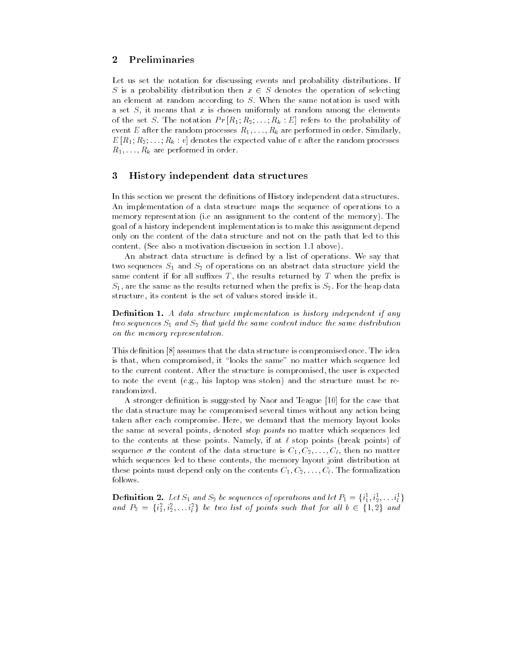#### $\boldsymbol{2}$ Preliminaries

 $\mathbb L$  and probability distribution for distribution for distributions-distributions-distributions-distributions-S is a probability distribution then  $x \in S$  denotes the operation of selecting an element at random according to S- when the same notation is used with a set  $S$ , it means that x is chosen uniformly at random among the elements of the set  $\beta$ . The notation  $P_1$   $P_2$ ,  $P_3$ ,  $P_4$ ,  $P_5$  refers to the probability of  $\alpha$  and  $\alpha$  are resolution processes  $R_1, \ldots, R_k$  are performed in order-similarly, E R R Rk v denotes the expected value of <sup>v</sup> after the random processes  $R_1, \ldots, R_k$  are performed in order.

#### $\bf{3}$ History independent data structures

In this section we present the de nitions of History independent data structures-An implementation of a data structure maps the sequence of operations to a memory representation i-e an assignment to the content of the memory- The goal of a history independent implementation is to make this assignment depend only on the content of the data structure and not on the path that led to this content , a content of motivation in section in section above and also also also in the

an abstract data structure is denimied by a list of operations- and any that the two sequences  $S_1$  and  $S_2$  of operations on an abstract data structure yield the same content if for all surfaces if the results returned by I when the premier is  $\mathcal{L}_1$ , are the same as the results returned when the premix is  $\mathcal{L}_2$ , rest the heap data set structure, its content is the set of values stored inside it.

 $\bf D$ enintion 1. A data structure implementation is history independent if any two sequences  $S_1$  and  $S_2$  that yield the same content induce the same distribution on the memory representation

the design of the data structure is compromised on the idea structure is completed once an additional complete is that, when compromised, it "looks the same" no matter which sequence led to the current content- After the structure is compromised the user is expected to note the event e-g- his laptop was stolen and the structure must be re randomized.

A stronger de nition is suggested by Naor and Teague 
 for the case that the data structure may be compromised several times without any action being taken after each compromise memory lay memory looks in memory looks in the memory the same at several points, denoted *stop points* no matter which sequences led to the contents at these points: realist; if at a stop points points points; or sequence  $\sigma$  the content of the data structure is  $C_1, C_2, \ldots, C_{\ell}$ , then no matter which sequences led to these contents, the memory layout joint distribution at these points must depend only on the contents  $\cup_1, \cup_2, \ldots, \cup_\ell$ . The formalization follows.

**Definition 2.** Let  $S_1$  and  $S_2$  be sequences of operations and let  $P_1 = \{i_1^1, i_2^1, \ldots i_l^1\}$ and  $P_2 = \{i_1^2, i_2^2, \ldots i_l^2\}$  be two list of points such that for all  $b \in \{1,2\}$  and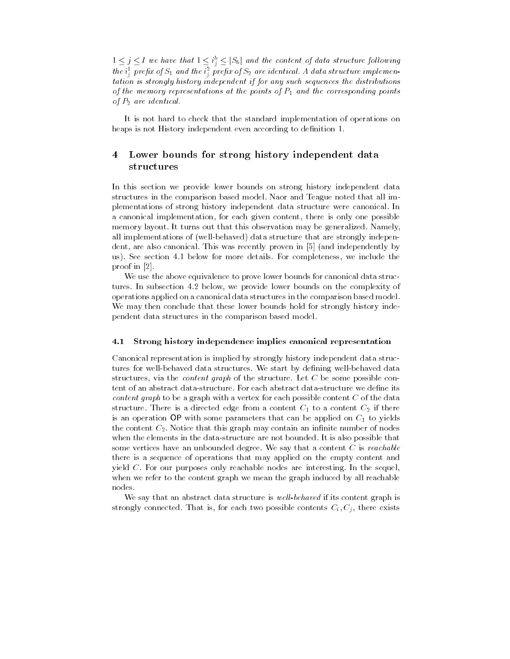$1 \leq j \leq l$  we have that  $1 \leq i_j^b \leq |S_b|$  and the content of data structure following the  $i_j^{\tau}$  prefix of  $S_1$  and the  $i_j^{\tau}$  prefix of  $S_2$  are identical. A data structure implementation is strongly history independent if for any such sequences the distributions of the memory representations at the points of  $P_1$  and the corresponding points of  $P_2$  are identical.

It is not hard to check that the standard implementation of operations on heaps is not History independent even according to de nition -

### $\bf{4}$  Lower bounds for strong history independent data structures

In this section we provide lower bounds on strong history independent data structures in the comparison based model- Naor and Teague noted that all im plementations of strong history independent data structure were canonical- In a canonical implementation, for each given content, there is only one possible memory injective international many characteristics many as generalized-commonly t all implementations of (well-behaved) data structure that are strongly indepenalso are also canonical-meter also canonical proven in  $\vert \cdot \vert$  , which independently all are section of the section of the completence the completence of the complete the complete the section of the proof in  $[2]$ 

We use the above equivalence to prove lower bounds for canonical data struc tures- In subsection - below we provide lower bounds on the complexity of operations applied on a canonical data structures in the comparison based model-We may then conclude that these lower bounds hold for strongly history inde pendent data structures in the comparison based model-

### Strong history independence implies canonical representation

Canonical representation is implied by strongly history independent data struc tures for well behaved data structures- well behaved the structure of the structures of the structure of the s structure, has the content graph of the structure-met  $C$  be some possible concontent graph to be a graph with a vertex for each possible content  $C$  of the data structure- There is a directed edge from a content C to a content C if there is an operation  $\mathsf{OP}$  with some parameters that can be applied on  $C_1$  to yields the content  $\mathbb{C}_2$  , rectee that this graph may contain an infinite number of nodes when the elements in the datastructure are not bounded-definition of bounded-definition  $\mathbb{I}^n$ some vertices have an unbounded degree- We say that a content <sup>C</sup> isreachable there is a sequence of operations that may applied on the empty content and yield C- For our purposes only reachable nodes are interesting- In the sequel when we refer to the content graph we mean the graph induced by all reachable nodes

We say that an abstract data structure is well-behaved if its content graph is strongly connected. That is, for each two possible contents  $\cup_i, \cup_i$ , there exists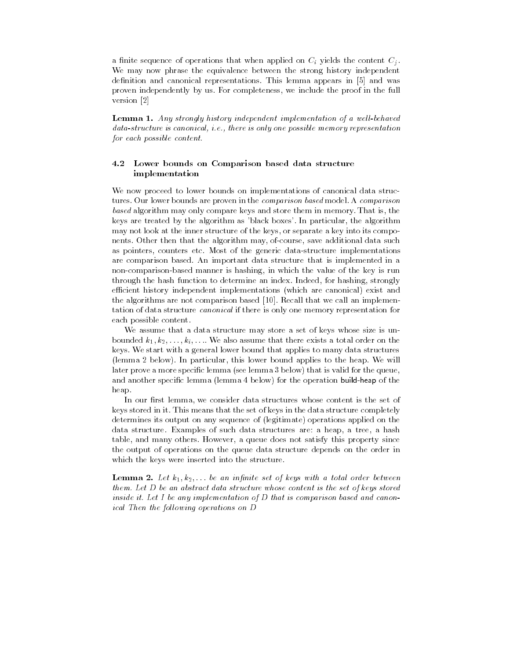a nite sequence of operations that when applied on Ci yields the content Cj -We may now phrase the equivalence between the strong history independent denition and canonical representations-website and was appears in  $\Gamma$  . This lemma appears in  $\Gamma$ proven independently by us- For completeness we include the proof in the full version [2]

**Lemma 1.** Any strongly history independent implementation of a well-behaved data-structure is canonical, i.e., there is only one possible memory representation for each possible content

### - Lower bounds on Comparison based data structure implementation

We now proceed to lower bounds on implementations of canonical data struc tures- Our lower bounds are proven in the comparison based model- A comparison based algorithm may only compare keys and store them in memory- That is the keys are treated by the algorithm as black boxes- In particular the algorithm may not look at the inner structure of the keys or separate a key into its compo nents- the algorithm may only the algorithm may of the algorithm material data such a such a such a as pointers counters etc- Most of the generic datastructure implementations are comparison based- An important data structure that is implemented in a non-comparison-based manner is hashing, in which the value of the key is run through the hash function to determine an index- Indeed for hashing strongly efficient history independent implementations (which are canonical) exist and the algorithms are not comparison based 
 - Recall that we call an implemen tation of data structure canonical if there is only one memory representation for each possible content.

We assume that a data structure may store a set of keys whose size is un  $\mathcal{D}$ ounded  $\kappa_1, \kappa_2, \ldots, \kappa_i, \ldots$  we also assume that there exists a total order on the keys- We start with a general lower bound that applies to many data structures lemma below- In particular this lower bound applies to the heap- We will later prove a more speci c lemma see lemma below that is valid for the queue and and clear specific dimension produced building and the operation building and the operation heap.

In our rst lemma we consider data structures whose content is the set of keys stored in it- This means that the set of keys in the data structure completely determines its output on any sequence of (legitimate) operations applied on the adata structure- examples of such data structures are a heal plant at tree a tree and table and many clients-websites-this property this property this property since  $\mathbb{R}^n$ the output of operations on the queue data structure depends on the order in which the keys were inserted into the structure.

 $\bf n$ emma  $\bf a$ ,  $\bf n$ et  $\bf n$ <sub>1</sub>, $\bf n$ <sub>2</sub>,... be an infinite set by  $\bf n$ egs with a total black between them. Let  $D$  be an abstract data structure whose content is the set of keys stored inside it. Let  $I$  be any implementation of  $D$  that is comparison based and canonical Then the following operations on D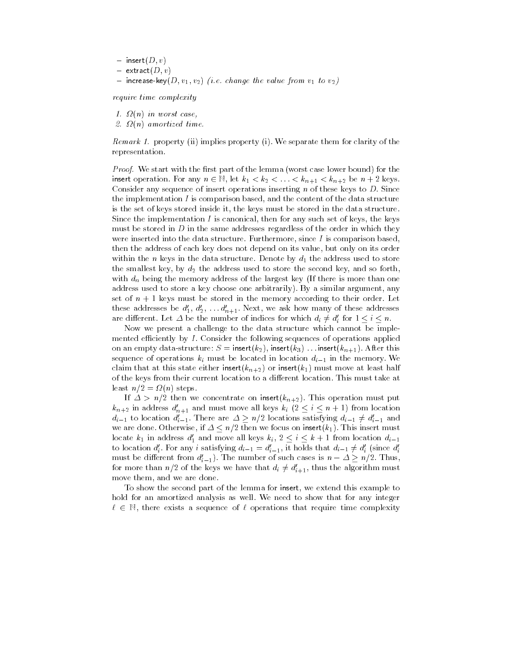```
\cupinsert\cup, \cupj
CALIQ CLID, Uincrease-\kappa over v_1, v_1, v_2 find the value of value from v_1 to v_2 /
```
require time complexity

1.  $\Omega(n)$  in worst case, 2.  $\Omega(n)$  amortized time.

Remark property ii implies property i- We separate them for clarity of the representation.

Proof We start with the rst part of the lemma worst case lower bound for the insert operation. For any  $n \in \mathbb{N}$ , let  $k_1 < k_2 < \ldots < k_{n+1} < k_{n+2}$  be  $n+2$  keys. Consider any sequence of insert operations inserting <sup>n</sup> of these keys to D- Since the implementation  $I$  is comparison based, and the content of the data structure is the set of keys stored inside it, the keys must be stored in the data structure. Since the implementation  $I$  is canonical, then for any such set of keys, the keys must be stored in  $D$  in the same addresses regardless of the order in which they were inserted into the data structure- i ditiitation planets i le comparison based ( then the address of each key does not depend on its value, but only on its order within the n keys in the data structure- Denote by  $\alpha_1$  the address used to store the smallest key, by  $d_2$  the address used to store the second key, and so forth, with  $d_n$  being the memory address of the largest key (If there is more than one address used to store a key choose one argument any argument any argument any argument any argument any argument any set of  $\alpha$  | i help mass so stored in the memory according to their crucit here these addresses be  $a_1, a_2, \ldots a_{n+1}$ . Next, we ask how many of these addresses are different. Let  $\Delta$  be the number of indices for which  $d_i \neq d'_i$  for  $1 \leq i \leq n$ .

Now we present a challenge to the data structure which cannot be implemented entertains by I- Consider the following sequence of operations applied  $\alpha$  insert the S insertion inserting inserting inserting inserting inserting  $\alpha$ sequence of operations ki must be located in location di in the memory- We claim that at this state either  $\ldots$  or  $\ldots$  ,  $\ldots$  insert inserting inserts at least half of the keys from their current location to a dierent location- This must take at least  $n/2 = \Omega(n)$  steps.

If  $\Delta$   $\geq$   $n/2$  then we concentrate on msert( $n_{n+2}$ ). This operation must put  $k_{n+2}$  in address  $d'_{n+1}$  and must move all keys  $k_i$   $(2 \leq i \leq n+1)$  from location  $d_{i-1}$  to location  $d'_{i-1}$ . There are  $\Delta \geq n/2$  locations satisfying  $d_{i-1} \neq d'_{i-1}$  and we are done. Otherwise, if  $\Delta \leq n/2$  then we focus on insert $(k_1)$ . This insert must locate  $k_1$  in address  $d'_1$  and move all keys  $k_i$ ,  $2 \leq i \leq k+1$  from location  $d_{i-1}$ to location  $d'_i$ . For any i satisfying  $d_{i-1} = d'_{i-1}$ , it holds that  $d_{i-1} \neq d'_i$  (since  $d'_i$ must be different from  $d'_{i-1}$ . The number of such cases is  $n - \Delta \geq n/2$ . Thus, for more than  $n/2$  of the keys we have that  $d_i \neq d'_{i+1}$ , thus the algorithm must imove them, and we are done.

To show the second part of the lemma for insert, we extend this example to hold for an amortized analysis as well- We need to show that for any integer  $\ell \in \mathbb{N}$ , there exists a sequence of  $\ell$  operations that require time complexity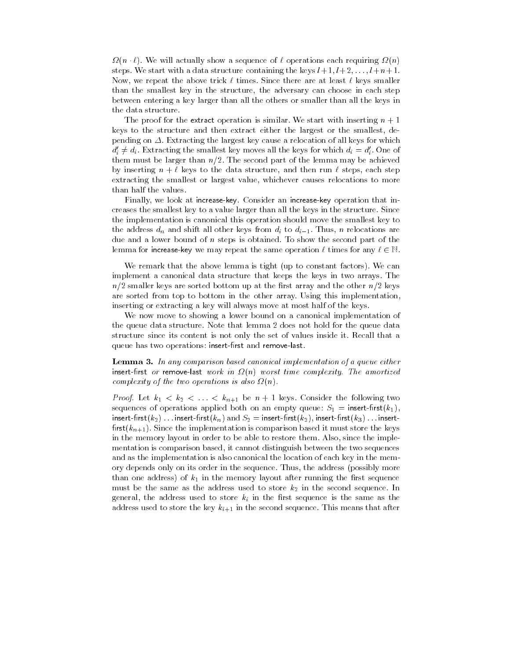$M(n+1)$ . We will actually show a sequence of  $t$  operations each requiring  $M(n)$ steps. We start with a data structure containing the Keys  $i \top 1, i \top 2, \ldots, i \top n \top 1$ . is we repeat the above this smaller smaller and are at least  $\epsilon$  major smaller than the smallest key in the structure, the adversary can choose in each step between entering a key larger than all the others or smaller than all the keys in the data structure.

The proof for the water operation to similar- no start with measured no proof keys to the structure and then extract either the largest or the smallest, depending on  $\blacksquare$  . Enterwording the largest key cause a relocation of an heys for which  $d'_i \neq d_i$ . Extracting the smallest key moves all the keys for which  $d_i = d'_i$ . One of them may be larger than n-p- the second part of the femma may be achieved by inserting n  $\vert$  c negle to the down structure, which their run o steps, exclusively extracting the smallest or largest value, whichever causes relocations to more than half the values.

Finally we look at increasekey- Consider an increasekey operation that in creases the smallest key to a value larger than all the keys in the structure-than all the structure-the structurethe implementation is canonical this operation should move the smallest key to  $\mathbf{u}_1$  address  $\mathbf{u}_l$  and shift all other keys from  $\mathbf{u}_l$  to  $\mathbf{u}_l$   $=$   $\mathbf{I}$ . Thus, we crossistic are due and a lower bound of n steps is obtained. To show the second part of the lemma for increase-key we may repeat the same operation  $\ell$  times for any  $\ell \in \mathbb{N}_+$ 

We remark that the above lemma is tight up to constant factors- We can implement a canonical data structure that keeps the keys in two arrays- The  $m = 0$  smaller keys are sorted bottom up at the small and ying the other  $m = m$ are sorted from top to bottom in the other array- Using this implementation inserting or extracting a key will always move at most half of the keys-

We now move to showing a lower bound on a canonical implementation of the queue data structure- that lemma islamic to the does not the the queue data is structure since its contention is not only the set of values inside it, colleges in the set queue mans en systemations insert-mer and state entre enter

 $\bf n$ emma  $\bf v$ . In any comparison vased canonical implementation of a queue either  $\bf r$ ritant in the correspondent work in naplicity worst time complexity I amortized an complexity of the two operations is also  $\Omega(n)$ .

*Froof.* Let  $\kappa_1 \leq \kappa_2 \leq \ldots \leq \kappa_{n+1}$  be  $n+1$  keys. Consider the following two sequences of operations applied both on an empty queue S insert-rstk  $r$  -rstructure-line  $r$  insert-distribution  $\{r_2\}$  insert-distribution  $\{r_2\}$  insert-distribution  $\{r_1, r_2, \ldots, r_{n-1}\}$  $r_{\rm{max}}$  ,  $r_{\rm{max}}$  is the compactness the form based it must store the keys in the memory layout in order to be able to restore them- Also since the imple mentation is comparison based, it cannot distinguish between the two sequences and as the implementation is also canonical the location of each key in the mem ory depends only on its order in the sequence- Thus the address possibly more than one address of k in the memory layout after running the rst sequence must be the same as the address used to store k in the second sequence- In general the address does to store ki in the high-most is the same as the address used to store the key  $n_{i+1}$  in the second sequence. This means that after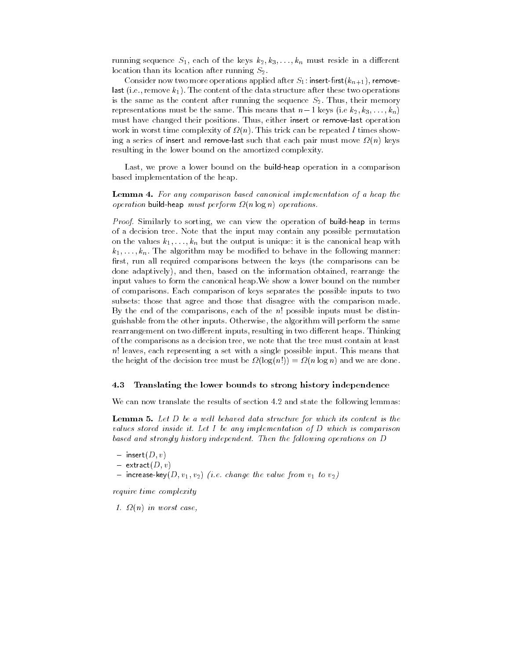running sequence  $S_1$ , each of the keys  $k_2, k_3, \ldots, k_n$  must reside in a different location than its location after running  $S_2$ .

 $\sim$  character and more operations applied after S insert- meeting  $r_{n+1}$  , i.e., e.g.  $\mathbf{r}_i$  . The content of the data structure after the discrete the discrete the discrete two operations of is the same as the content after running the sequence S- Thus their memory representations must be the same. This means that  $n = 1$  keys (i.e.  $\kappa_2, \kappa_3, \ldots, \kappa_n$ ) must have changed their positions- must, changed their inserts-usert operations- $\ldots$  in words time complement of  $\ldots$  . This time then can be repeated times show  $\ldots$ ing a series of insert and remove-last such that each pair must move  $\Omega(n)$  keys resulting in the lower bound on the amortized complexity-

Last, we prove a lower bound on the build-heap operation in a comparison based implementation of the heap.

 $\bf n$ emma  $\bf r$ , ror any comparison vasca canonical implementation of a heap the  $\bf n$ operation build-heap must perform  $\Omega(n \log n)$  operations.

*Proof.* Similarly to sorting, we can view the operation of build-heap in terms of a decision tree-field that the input may contain any possible permutation in on the values  $k_1, \ldots, k_n$  but the output is unique: it is the canonical heap with  $\mathcal{N}_1, \ldots, \mathcal{N}_n$ . The algorithm may be modified to behave in the following manner. rst run all required comparisons between the keys the comparisons can be done adaptively), and then, based on the information obtained, rearrange the input values to form the canonical heap-We show a lower bound on the number of comparisons- and comparisons to the possible included in possible inputs to two subsets: those that agree and those that disagree with the comparison made. By the end of the comparisons, each of the  $n!$  possible inputs must be distinguishable from the other inputs-called the algorithm will perform the same rearrangement on two dierent inputs resulting in two dierent heaps- Thinking of the comparisons as a decision tree we note that the tree must contain at least n leaves to recent representing a set with a single possible input. This means that the height of the decision tree must be  $\Omega(\log(n)) = \Omega(n \log n)$  and we are done.

#### -Translating the lower bounds to strong history independence

we can now transmitted the results of section results of the following lemmas.

 $\bf L$ e $\bf m$  as  $\bf v$ ,  $\bf v$  be a well behaved data structure for which its content is the values stored inside it Let <sup>I</sup> be any implementation of <sup>D</sup> which is comparison based and strongly history independent. Then the following operations on  $D$ 

 $\cup$ insert $\cup$ ,  $\cup$ j  $C$ ALIQ CLI $D, U$ increase- $\kappa$  over  $v_1, v_1, v_2$  find the value of value from  $v_1$  to  $v_2$  /

require time complexity

1.  $\Omega(n)$  in worst case.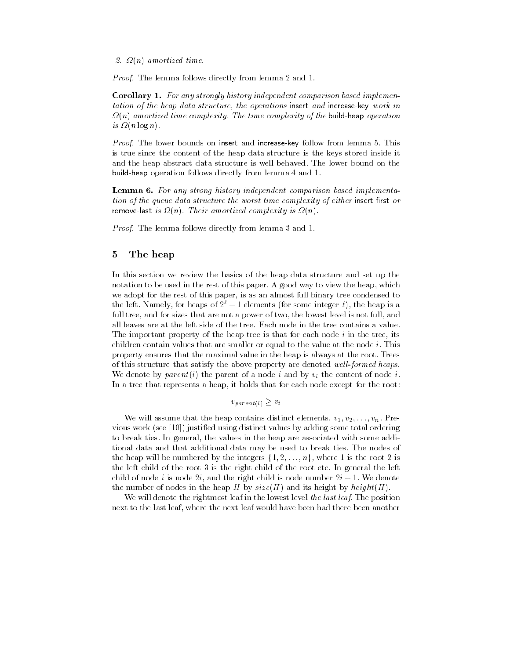2.  $\Omega(n)$  amortized time.

*Proof.* The lemma follows directly from lemma  $2$  and  $1$ .

Coronary 1. For any strongly history independent comparison based implementation tation of the heap data structure, the operations insert and increase-key work in  $\Omega(n)$  amortized time complexity. The time complexity of the build-heap operation is  $\Omega(n \log n)$ .

Proof The lower bounds on insert and increasekey follow from lemma - This is true since the content of the heap data structure is the keys stored inside it and the heap abstract data structure is well behaved- The lower bound on the build-heap operation follows directly from lemma 4 and 1.

 $\bf H$ emma  $\bf v$ . Tor any strong mstory independent comparison based implementation of the queue data structure the worst time complexity of either insert-rst or remove-last is  $\Omega(n)$ . Their amortized complexity is  $\Omega(n)$ .

*Proof.* The lemma follows directly from lemma  $3$  and  $1$ .

#### 5 The heap

In this section we review the basics of the heap data structure and set up the notation to be used in the rest of this paper- A good way to view the heap which we adopt for the rest of this paper, is as an almost full binary tree condensed to the fert-namely, for heaps of  $z^* = 1$  elements (for some integer  $t$ ), the heap is a full tree, and for sizes that are not a power of two, the lowest level is not full, and The important property of the heap-tree is that for each node  $i$  in the tree, its children contain values that are smaller or equal to the value at the node i- ring property ensures that the maximal value in the heap is always at the root- Trees of this structure that satisfy the above property are denoted well-formed heaps. We denote by parent(i) the parent of a node i and by  $v_i$  the content of node i. In a tree that represents a heap, it holds that for each node except for the root:

# $v_{parent(i)} > v_i$

We will assume that the heap contains distinct elements,  $v_1, v_2, \ldots, v_n$ . I fevious work see 
 justi ed using distinct values by adding some total ordering to break ties- In general the values in the heap are associated with some addi tional data and that additional data may be used to break ties- The nodes of the heap will be numbered by the integers  $\{1, 2, \ldots, n\}$ , where 1 is the root 2 is  $\mathbf \sigma$  is the root of the root etc. child of hode  $\epsilon$  is node set and the right child is node number set  $\vert$  if we denote the number of nodes in the heap H by  $size(H)$  and its height by  $height(H)$ .

will denote the rightmost leaf in the lowest level the lowest level the last level the last level the last le next to the last leaf, where the next leaf would have been had there been another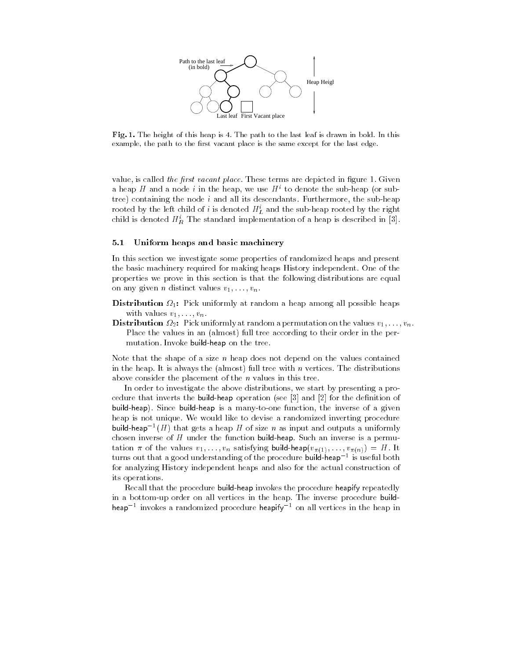

Fig. 1. The height of this heap is 4. The path to the last leaf is drawn in bold. In this example, the path to the first vacant place is the same except for the last edge.

value is called the -rst vacant place- These terms are depicted in gure - Given a heap H and a node i in the heap, we use  $H^i$  to denote the sub-heap (or subtree, containing the node t what will be descendants- I ditiitimely the sub-heap rooted by the left child of t is denoted  $H_L^*$  and the sub-heap rooted by the right child is denoted  $H_R^+$  The standard implementation of a heap is described in  $[\mathfrak{d}].$ 

### Uniform heaps and basic machinery

In this section we investigate some properties of randomized heaps and present the basic machinery required for making heaps History independent- One of the properties we prove in this section is that the following distributions are equal on any given *n* distinct values  $v_1, \ldots, v_n$ .

 $\blacktriangleright$  recent  $\mathcal{L}_{\text{max}}$  is a function at random a heap among an possible heaps with values  $v_1, \ldots, v_n$ .

 $\blacksquare$  received  $\blacksquare$  . Their uniformly at random a permutation on the values  $\verb|v|$  ,  $\blacksquare$  ,  $\blacksquare$ Place the values in an (almost) full tree according to their order in the permutation-buildheap on the tree-processes and the tree-

Note that the shape of a size  $n$  heap does not depend on the values contained in the heap-is is almost with the full test the military of the distribution and distributions. above consider the placement of the  $n$  values in this tree.

In order to investigate the above distributions, we start by presenting a procedure that inverte the buildheap operation see . It was possible the definition of buildheap is a march buildheap is a manytoone functional inverse of a given a given heap is not unique- We would like to devise a randomized inverting procedure build-neap  $\lceil H \rceil$  that gets a heap H of size n as input and outputs a uniformly chosen inverse of H under the function build hopp such an inverse is a permu- $\alpha$  values  $v_1, \ldots, v_n$  satisfying build-fieap $(v_{\pi(1)}, \ldots, v_{\pi(n)}) = H \cdot W$ turns out that a good understanding of the procedure build-neap - is useful both for analyzing History independent heaps and also for the actual construction of its operations-

Recall that the procedure build-heap invokes the procedure heapify repeatedly in a bottomup order on all vertices in the heap- The inverse procedure build neap the nvokes a randomized procedure neapity to mail vertices in the heap in the  $\alpha$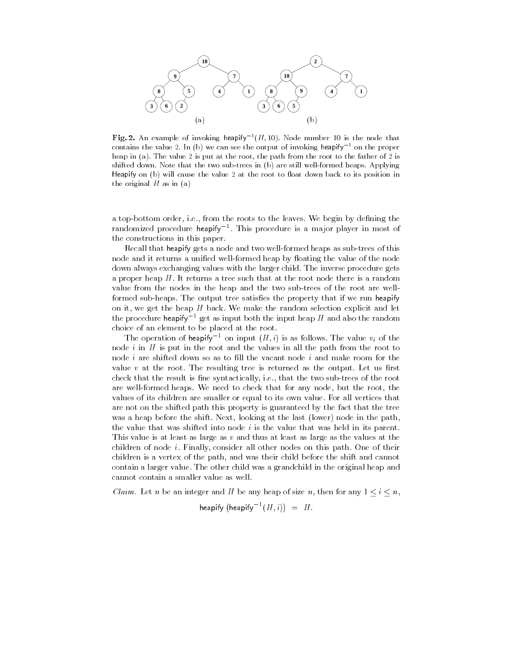

**Fig. 2.** An example of invoking neapify  $^-(H, 10)$ . Node number 10 is the node that contains the value 2. In (b) we can see the output of invoking heapify<sup> $-1$ </sup> on the proper heap in (a). The value 2 is put at the root, the path from the root to the father of 2 is shifted down. Note that the two sub-trees in (b) are still well-formed heaps. Applying Heapify on  $(b)$  will cause the value 2 at the root to float down back to its position in the original  $H$  as in (a)

a topbottom order i-e- from the roots to the leaves- We begin by de ning the randomized procedure neapity full list procedure is a major player in most of the constructions in this paper.

Recall that heapify gets a node and two well-formed heaps as sub-trees of this node and it returns a uni ed wellformed heap by oating the value of the node down always the inverse with the larger child-child-child-child-child-child-child-child-child-child-child-childa proper heap H- It returns a tree such that at the root hour that the at a random. value from the nodes in the heap and the two sub-trees of the root are wellformed subheaps- The output tree satis es the property that if we run heapify on it, we get the heap in back- we make the random selection explicit and let the procedure heapify<sup>-1</sup> get as input both the input heap H and also the random choice of an element to be placed at the root-

The operation of heapily  $\overline{\phantom{a}}$  on input  $\overline{H}, \overline{v}$  is as follows. The value  $v_i$  of the node  $i$  in  $H$  is put in the root and the values in all the path from the root to node <sup>i</sup> are shifted down so as to ll the vacant node <sup>i</sup> and make room for the value i at the root- rile resulting tree is returned as the output- het us filetcheck that the result is ne syntactically i-e- that the two subtrees of the root are well-to check that for the form that for any node that for any node that for any node that for any node th values of its children are smaller or equal to its own value- For all vertices that are not on the shifted path this property is guaranteed by the fact that the tree was a heap before the shifts-the state in the lower notes in the last lower pathology  $\mathcal{A}$ the value that was shifted into node  $i$  is the value that was held in its parent. This value is at least as large as <sup>v</sup> and thus at least as large as the values at the children of house i-finally consider all other house on this path- one of their children is a vertex of the path, and was their child before the shift and cannot contain a larger value- The other child was a grandchild in the original heap and cannot contain a smaller value as well-

*Claim.* Let *n* be an integer and H be any heap of size *n*, then for any  $1 \leq i \leq n$ ,

heapify 
$$
(heapify^{-1}(H, i)) = H
$$
.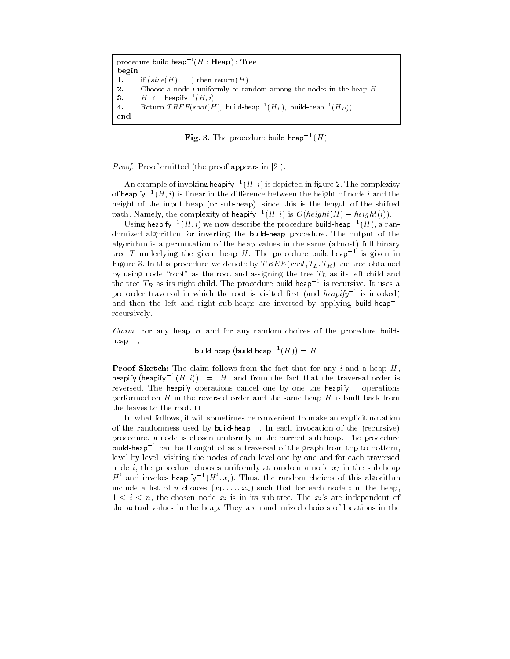```
procedure build-heap \lceil H \rceil : \mathbf{H}eap) : Tree
begin
1. if (size(H) = 1) then return(H)\mathbf 2 .
        Choose a node i uniformly at random among the nodes in the heap H.
B \leftarrow heapity (H, i)4.       Keturn \mathit{I}\mathit{KLE}(root(H ), build-heap \lceil (H_L) \rceil, build-heap \lceil (H_R) \rceilend
```
 $\mathbf{r}$  ig. 3. The procedure build-neap  $\mathbf{r}(H)$ 

*Proof.* Proof omitted (the proof appears in  $[2]$ ).

An example of invoking neapify  $^{-}$  (H  $_{i}$  ) is depicted in figure 2 . The complexity  $^{-}$ of heapify  $\lceil (H, t) \rceil$  is linear in the difference between the height of node  $i$  and the height of the input heap (or sub-heap), since this is the length of the shifted path. Namely, the complexity of neapify  $\lceil (H, i) \rceil$  is  $O(\frac{neq}{n}$  if  $H) = \frac{neq}{n}$ 

Using heapify  $\lceil (H, i) \rceil$  we now describe the procedure build-heap  $\lceil (H) \rceil$ , a randomized algorithm for inverting the buildheap procedure- The output of the algorithm is a permutation of the heap values in the same (almost) full binary tree  $I$  underlying the given neap  $H$ . The procedure build-neap  $\tilde{\ }$  is given in Figure  $\sigma$ . In this procedure we denote by The  $E$  (root, T<sub>L</sub>, TR) the tree obtained by using node "root" as the root and assigning the tree  $T_L$  as its left child and the tree  $I_R$  as its right child. The procedure build-heap  $\hat{\ }$  is recursive. It uses a pre-order traversal in which the root is visited first (and  $\emph{neapify}$   $\,$  is invoked)  $\,$ and then the left and right sub-heaps are inverted by applying build-heap<sup>-1</sup> recursively.

*Claim.* For any heap  $H$  and for any random choices of the procedure buildheap

build-heap (build-heap
$$
^{-1}(H)
$$
) = H

**I** FOOI SKETCH: The claim follows from the fact that for any  $i$  and a neap  $H$ , heapify (heapify  $^{-1}(H, i)$ ) = H, and from the fact that the traversal order is reversed. The heapify operations cancel one by one the heapify foperations performed on  $H$  in the reversed order and the same heap  $H$  is built back from the leaves to the root.  $\Box$ 

In what follows it will sometimes be convenient to make an explicit notation of the randomness used by build-neap  $\bar{\ }$ . In each invocation of the (recursive)  $\bar{\ }$ procedure a node is chosen uniformly in the current subheap- The procedure build-heap<sup>-1</sup> can be thought of as a traversal of the graph from top to bottom, level by level, visiting the nodes of each level one by one and for each traversed node *i*, the procedure chooses uniformly at random a node  $x_i$  in the sub-heap  $H^+$  and invokes neapify  $\pi^+(H^+,x_i)$ . Thus, the random choices of this algorithm include a list of n choices  $(x_1, \ldots, x_n)$  such that for each node i in the heap,  $1 \leq i \leq n$ , the chosen node  $x_i$  is in its sub-tree. The  $x_i$ 's are independent of the actual values in the heap- They are randomized choices of locations in the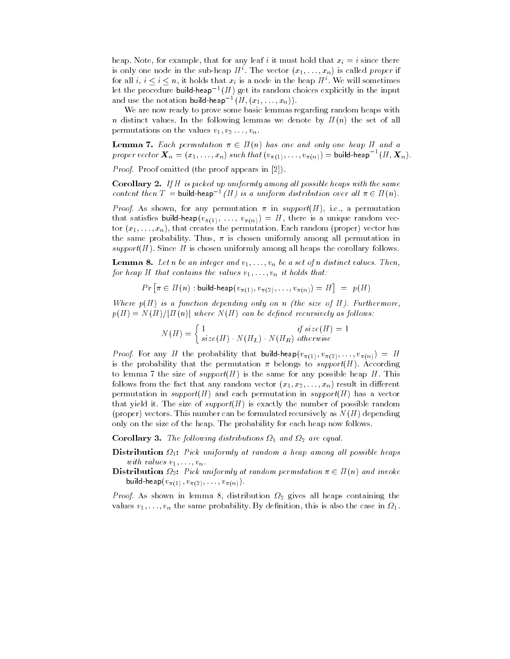$\mathbf{r}_i$  ,  $\mathbf{r}_i$  ,  $\mathbf{r}_i$  is that for any leaf  $\mathbf{r}_i$  is that  $\mathbf{r}_i$  is the set  $\mathbf{r}_i$ is only one hode in the sub-heap  $H^+$ . The vector  $(x_1, \ldots, x_n)$  is called proper if for all  $i, i \leq i \leq n$ , it holds that  $x_i$  is a node in the heap  $H^i$ . We will sometimes let the procedure build-neap  $\tau(\pi)$  get its random choices explicitly in the input and use the notation build-neap  $\tau(H, (x_1, \ldots, x_n))$ .

We are now ready to prove some basic lemmas regarding random heaps with n distinct nature in the following follows we delive by it we set of the set permutations on the values  $v_1, v_2, \ldots, v_n$ .

**Lemma** 7. Each permutation  $\pi \in H(n)$  has one and only one heap H and a proper vector  $\bm{X}_n = (x_1, \ldots, x_n)$  such that  $(v_{\pi(1)}, \ldots, v_{\pi(n)}) =$  build-heap  $\lnot (H, \bm{X}_n)$ .

*Proof.* Proof omitted (the proof appears in  $[2]$ ).

 $\sim$  Corollary  $\omega$ ,  $\eta$  if is picked up uniformity among an possible heaps with the sume content then  $T =$  build-heap<sup>-1</sup>(H) is a uniform distribution over all  $\pi \in H(n)$ .

rection in anothing for any permutation of in supportantly field a permutation of that satisfies build-neap( $v_{\pi(1)}, \ldots, v_{\pi(n)}$ ) =  $\pi$ , there is a unique random vec- $\mathbf{v}$  ,  $\mathbf{v}$  ,  $\mathbf{v}$  ,  $\mathbf{v}$  and  $\mathbf{v}$  random permutation-matrix function-depending  $\mathbf{v}$ the same probability-theory a lo chosen uniformly which we permutation in supported to the since the chosen uniformly which he corollary follows-

**Lemma o.** Let n be an integer and  $v_1, \ldots, v_n$  be a set of n assumed values. Then, for heap H that contains the values  $v_1, \ldots, v_n$  it holds that:

$$
Pr[\pi \in \Pi(n) : \text{build-heap}(v_{\pi(1)}, v_{\pi(2)}, \ldots, v_{\pi(n)}) = H] = p(H)
$$

Where  $p(H)$  is a function depending only on n (the size of H). Furthermore,  $p(H) = N(H)/\vert \Pi(n) \vert$  where  $N(H)$  can be defined recursively as follows:

$$
N(H) = \begin{cases} 1 & if \text{ size}(H) = 1 \\ size(H) \cdot N(H_L) \cdot N(H_R) & otherwise \end{cases}
$$

*FOOf* For any *H* the probability that build-neap( $v_{\pi(1)}, v_{\pi(2)}, \ldots, v_{\pi(n)}) = H$ is the probability that the permutation  $\boldsymbol{n}$  belongs to support  $\boldsymbol{n+1}$  incode any to lemma , the size of support is the size sums for usige possible headp in this follows from the fact that any random vector  $(x_1, x_2, \ldots, x_n)$  result in different permutation in support(H) and each permutation in support(H) has a vector that yield it. The size of supportles, is exactly the number of possible random. proper vectors. This hallocreation can be formulated recursively as  $N+1$  as  $N+1$ only on the size of the heapt with probability for the heap now follows-

Corollary **3.** The following distributions  $\Omega_1$  and  $\Omega_2$  are equal.

- Distribution Pick uniformly at random a heap among al l possible heaps with values  $v_1, \ldots, v_n$ .
- **Distribution**  $\Omega_2$ : Pick uniformly at random permutation  $\pi \in H(n)$  and invoke build-lieap( $v_{\pi(1)}, v_{\pi(2)}, \ldots, v_{\pi(n)}$ ).

*Proof.* As shown in lemma 8, distribution  $\Omega_2$  gives all heaps containing the values  $v_1, \ldots, v_n$  the same probability. By definition, this is also the case in  $v_1$ .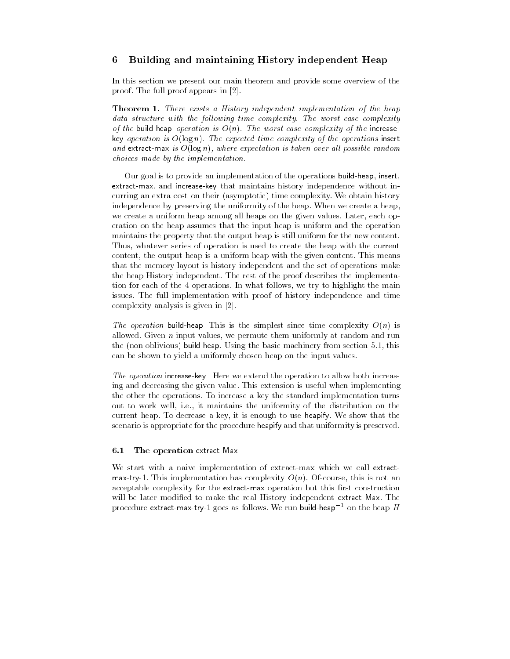### 6 Building and maintaining History independent Heap

In this section we present our main theorem and provide some overview of the province and functional in province in  $\mathbb{F}_p$ 

**Theorem I.** There exists a History independent implementation of the heap  $data$  structure with the following time complexity. The worst case complexity of the build-heap operation is  $O(n)$ . The worst case complexity of the increasekey operation is  $O(\log n)$ . The expected time complexity of the operations insert and extract-max is  $O(\log n)$ , where expectation is taken over all possible random choices made by the implementation

Our goal is to provide an implementation of the operations build-heap, insert, extract-max, and increase-key that maintains history independence without incurring and cost on the cost of time control time complexity-time complexity-time complexity-time complexity-time complexity-time complexity-time complexity-time complexity-time control time complexity-time complexity-time independence by preserving the uniformity of the heap- When we create a heap we create a uniform heal health health health health health health health health health health health health h eration on the heap assumes that the input heap is uniform and the operation maintains the property that the output heap is still uniform for the new content-Thus, whatever series of operation is used to create the heap with the current content, the output heap is a uniform heap with the given content-mean internal that the memory layout is history independent and the set of operations make the heap History independent- The rest of the proof describes the implementa tion for each of the state  $\mathcal{L}$  the main follows we try to highlight the main follows we try to highlight the main follows we try to highlight the main follows we try to highlight the main follows we try to highlight t issues- The full implementation with proof of history independence and time complexity analysis is given in  $[2]$ .

The operation build-heap This is the simplest since time complexity  $O(n)$  is allowed- out on he had at random we permute them uniformly at random and run the press referred and machinery country from section and section research the basic machinery from the section can be shown to yield a uniformly chosen heap on the input values-

The operation increase-key Here we extend the operation to allow both increasing and decreasing the given value- This extension is useful when implementing the other the operations- To increase a key the standard implementation turns out to work well is maintained to work well in the uniformity of the uniformity of the distribution on the distribution on the uniformity of the distribution on the distribution on the uniformity of the distribution on the current mongo me moneture a moje is in the age it is enough the theory and the theory in scenario is appropriate for the procedure heapify and that uniformity is preserved.

### The operation extract-Max

We start with a naive implementation of extract-max which we call extract- $\ldots$ ,  $\ldots$  is the implementation has complement of  $\ldots$  of course, and is not an acceptable complexity for the extractmax operation but this rst construction will be later modified to modified the real History independent modified with the real  $\sim$ procedure extract-max-try-1 goes as follows. We run build-neap  $\pm$  on the heap  $H$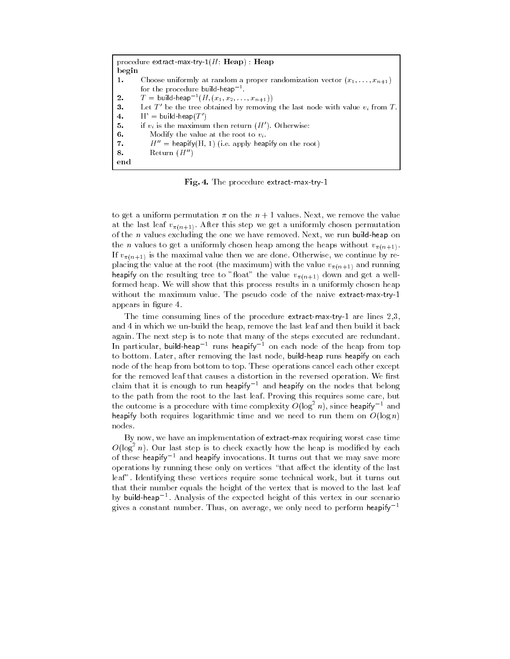procedure extractionally appear assumption as a supbegin Choose uniformly at random a proper randomization vector x---xn for the procedure build-neap f.  $I = D$ uild-neap  $(H, (x_1, x_2, \ldots, x_{n+1}))$ 3. Let T' be the tree obtained by removing the last node with value  $v_i$  from T 4.  $H' = \text{build-} \text{heap}(T')$ 5. if  $v_i$  is the maximum then return  $(H')$ . Otherwise: 6. Modify the value at the root to  $v_i$ . 7.  $H'' = \text{heapify}(H, 1)$  (i.e. apply heapify on the root) 8. Return  $(H'')$ end

 $\mathbf{r}$  ig.  $\mathbf{r}$  . The procedure extractminax-try-1

to get a uniform permutation we are not a values-remove the remove the value at the last leaf  $\mathbb{Z}_{n+k+1}$  , there this step we get a uniformly energy permutation of the  $\alpha$  values excluding the one we have removed-curriculty we full weils we have on  $\sum_{i=1}^n$  values to give a uniformly chosen heap among the heaps without  $\sum_{i=1}^n$  $\ldots$   $\ldots$  is the maximal value then we are done. Statistic, we continue by re- $P^{100,111}$  the value at the root (the maximum) with the value  $v_{\pi+1}$  and running  $\sum_{n=1}^{\infty}$  on the resulting tree to allow the value  $\alpha^{(n+1)}$  down and get a well formed heap- We will show that this process results in a uniformly chosen heap with the maximum value-  $\frac{1}{2}$  and  $\frac{1}{2}$  and  $\frac{1}{2}$  and  $\frac{1}{2}$  and  $\frac{1}{2}$  and  $\frac{1}{2}$ appears in the contract of the contract of the contract of the contract of the contract of the contract of the

The time consuming lines of the procedure extract-max-try-1 are lines  $2.3$ . and 4 in which we un-build the heap, remove the last leaf and then build it back again- The next step is to note that many of the steps executed are redundant-In particular, build-neap  $\hat{\ }$  runs heapify  $\hat{\ }$  on each node of the heap from top to bottom-after after removing the last node after the last node after  $\mu$  and  $\mu$ node of the heap from bottom to top- These operations cancel each other except for the removed leaf that causes a distortion in the reversed operation- We rst claim that it is enough to run heapify<sup>-1</sup> and heapify on the nodes that belong to the path from the root to the last leaf-care requires some care this require the outcome is a procedure with time complexity  $O(\log^2 n)$ , since heapify<sup>-1</sup> and heapify both requires logarithmic time and we need to run them on  $O(\log n)$ nodes-

By now, we have an implementation of extract-max requiring worst case time  $O(\log^+ n)$ . Our last step is to check exactly how the heap is modified by each of these neaphy – and neaphy invocations. It turns out that we may save more operations by running these only on vertices "that affect the identity of the last leaf- Identifying these vertices require some technical work but it turns out that their number equals the height of the vertex that is moved to the last leaf by build-neap to Analysis of the expected height of this vertex in our scenario gives a constant number. Thus, on average, we only need to perform neapify  $\hspace{0.1mm}$